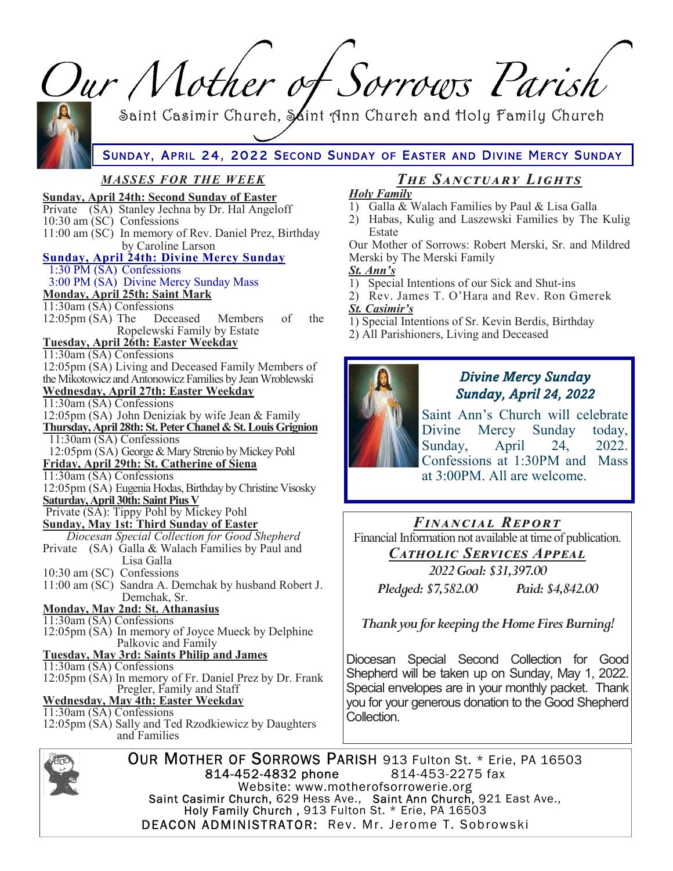| Our Mother of Sorrows Parish                                                                                                                                                                                                                                                                                                                                                                                                                                                                                                                                                                                        |                                                                                                                                                                                                                                                                                                                                                                                                                                                                                                 |
|---------------------------------------------------------------------------------------------------------------------------------------------------------------------------------------------------------------------------------------------------------------------------------------------------------------------------------------------------------------------------------------------------------------------------------------------------------------------------------------------------------------------------------------------------------------------------------------------------------------------|-------------------------------------------------------------------------------------------------------------------------------------------------------------------------------------------------------------------------------------------------------------------------------------------------------------------------------------------------------------------------------------------------------------------------------------------------------------------------------------------------|
| Saint Casimir Church, Saint Ann Church and Holy Family Church<br>SUNDAY, APRIL 24, 2022 SECOND SUNDAY OF EASTER AND DIVINE MERCY SUNDAY                                                                                                                                                                                                                                                                                                                                                                                                                                                                             |                                                                                                                                                                                                                                                                                                                                                                                                                                                                                                 |
|                                                                                                                                                                                                                                                                                                                                                                                                                                                                                                                                                                                                                     |                                                                                                                                                                                                                                                                                                                                                                                                                                                                                                 |
| <b>MASSES FOR THE WEEK</b><br><b>Sunday, April 24th: Second Sunday of Easter</b><br>Private (SA) Stanley Jechna by Dr. Hal Angeloff<br>10:30 am (SC) Confessions<br>11:00 am (SC) In memory of Rev. Daniel Prez, Birthday<br>by Caroline Larson<br><b>Sunday, April 24th: Divine Mercy Sunday</b><br>$1:30$ PM $(SA)$ Confessions<br>3:00 PM (SA) Divine Mercy Sunday Mass<br><b>Monday, April 25th: Saint Mark</b><br>$11:30$ am (SA) Confessions<br>12:05pm (SA) The Deceased<br>Members<br>of<br>the<br>Ropelewski Family by Estate<br><b>Tuesday, April 26th: Easter Weekday</b><br>$11:30$ am (SA) Confessions | <b>THE SANCTUARY LIGHTS</b><br><b>Holy Family</b><br>1) Galla & Walach Families by Paul & Lisa Galla<br>2) Habas, Kulig and Laszewski Families by The Kulig<br>Estate<br>Our Mother of Sorrows: Robert Merski, Sr. and Mildred<br>Merski by The Merski Family<br>St. Ann's<br>1) Special Intentions of our Sick and Shut-ins<br>2) Rev. James T. O'Hara and Rev. Ron Gmerek<br>St. Casimir's<br>1) Special Intentions of Sr. Kevin Berdis, Birthday<br>2) All Parishioners, Living and Deceased |
| 12:05pm (SA) Living and Deceased Family Members of<br>the Mikotowicz and Antonowicz Families by Jean Wroblewski<br><b>Wednesday, April 27th: Easter Weekday</b><br>$11:30$ am (SA) Confessions<br>12:05pm (SA) John Deniziak by wife Jean & Family<br>Thursday, April 28th: St. Peter Chanel & St. Louis Grignion<br>$11:30am(SA)$ Confessions<br>12:05pm (SA) George & Mary Strenio by Mickey Pohl<br>Friday, April 29th: St. Catherine of Siena<br>11:30am (SA) Confessions<br>12:05pm (SA) Eugenia Hodas, Birthday by Christine Visosky<br><u> Saturday, April 30th: Saint Pius V</u>                            | <b>Divine Mercy Sunday</b><br>Sunday, April 24, 2022<br>Saint Ann's Church will celebrate<br>Divine<br>Mercy Sunday<br>today,<br>April<br>24,<br>2022.<br>Sunday,<br>Confessions at 1:30PM and Mass<br>at 3:00PM. All are welcome.                                                                                                                                                                                                                                                              |
| Private (SA): Tippy Pohl by Mickey Pohl<br><b>Sunday, May 1st: Third Sunday of Easter</b><br>Diocesan Special Collection for Good Shepherd<br>(SA) Galla & Walach Families by Paul and<br>Private<br>Lisa Galla<br>10:30 am (SC) Confessions<br>11:00 am (SC) Sandra A. Demchak by husband Robert J.<br>Demchak, Sr.<br><b>Monday, May 2nd: St. Athanasius</b>                                                                                                                                                                                                                                                      | <b>FINANCIAL REPORT</b><br>Financial Information not available at time of publication.<br>CATHOLIC SERVICES APPEAL<br>2022 Goal: \$31,397.00<br>Pledged: \$7,582.00<br>Paid: \$4,842.00                                                                                                                                                                                                                                                                                                         |
| 11:30am (SA) Confessions<br>12:05pm (SA) In memory of Joyce Mueck by Delphine<br>Palkovic and Family<br><b>Tuesday, May 3rd: Saints Philip and James</b><br>11:30am (SA) Confessions                                                                                                                                                                                                                                                                                                                                                                                                                                | Thank you for keeping the Home Fires Burning!<br>Diocesan Special Second Collection for Good                                                                                                                                                                                                                                                                                                                                                                                                    |
| 12:05pm (SA) In memory of Fr. Daniel Prez by Dr. Frank<br>Pregler, Family and Staff<br><u> Wednesday, May 4th: Easter Weekday</u><br>11:30am (SA) Confessions<br>12:05pm (SA) Sally and Ted Rzodkiewicz by Daughters<br>and Families                                                                                                                                                                                                                                                                                                                                                                                | Shepherd will be taken up on Sunday, May 1, 2022.<br>Special envelopes are in your monthly packet. Thank<br>you for your generous donation to the Good Shepherd<br>Collection.                                                                                                                                                                                                                                                                                                                  |
| OUR MOTHER OF SORROWS PARISH 913 Fulton St. * Erie, PA 16503<br>Pool                                                                                                                                                                                                                                                                                                                                                                                                                                                                                                                                                |                                                                                                                                                                                                                                                                                                                                                                                                                                                                                                 |



814-452-4832 phone<br>814-452-4832 phone<br>Website: www.motherofsorrowerie.org<br>Saint Casimir Church, 629 Hess Ave., Saint Ann Church, 921 East Ave.,<br>Holy Family Church, 913 Fulton St. \* Erie, PA 16503 DEACON ADMINISTRATOR: Rev. Mr. Jerome T. Sobrowski